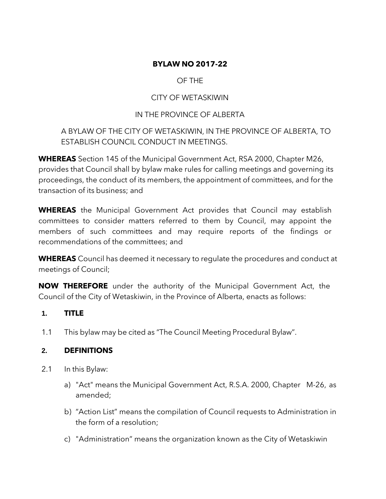# **BYLAW NO 2017-22**

# OF THE

# CITY OF WETASKIWIN

# IN THE PROVINCE OF ALBERTA

# A BYLAW OF THE CITY OF WETASKIWIN, IN THE PROVINCE OF ALBERTA, TO ESTABLISH COUNCIL CONDUCT IN MEETINGS.

**WHEREAS** Section 145 of the Municipal Government Act, RSA 2000, Chapter M26, provides that Council shall by bylaw make rules for calling meetings and governing its proceedings, the conduct of its members, the appointment of committees, and for the transaction of its business; and

**WHEREAS** the Municipal Government Act provides that Council may establish committees to consider matters referred to them by Council, may appoint the members of such committees and may require reports of the findings or recommendations of the committees; and

**WHEREAS** Council has deemed it necessary to regulate the procedures and conduct at meetings of Council;

**NOW THEREFORE** under the authority of the Municipal Government Act, the Council of the City of Wetaskiwin, in the Province of Alberta, enacts as follows:

# **1. TITLE**

1.1 This bylaw may be cited as "The Council Meeting Procedural Bylaw".

# **2. DEFINITIONS**

- 2.1 In this Bylaw:
	- a) "Act" means the Municipal Government Act, R.S.A. 2000, Chapter M-26, as amended;
	- b) "Action List" means the compilation of Council requests to Administration in the form of a resolution;
	- c) "Administration" means the organization known as the City of Wetaskiwin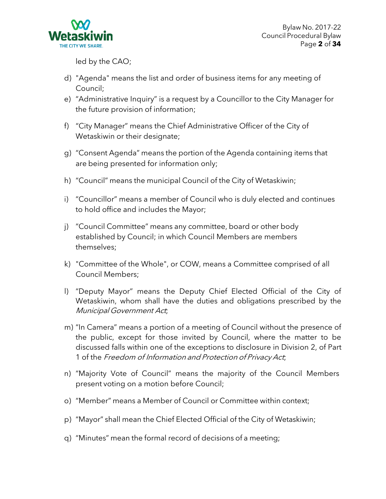

led by the CAO;

- d) "Agenda" means the list and order of business items for any meeting of Council;
- e) "Administrative Inquiry" is a request by a Councillor to the City Manager for the future provision of information;
- f) "City Manager" means the Chief Administrative Officer of the City of Wetaskiwin or their designate;
- g) "Consent Agenda" means the portion of the Agenda containing items that are being presented for information only;
- h) "Council" means the municipal Council of the City of Wetaskiwin;
- i) "Councillor" means a member of Council who is duly elected and continues to hold office and includes the Mayor;
- j) "Council Committee" means any committee, board or other body established by Council; in which Council Members are members themselves;
- k) "Committee of the Whole", or COW, means a Committee comprised of all Council Members;
- l) "Deputy Mayor" means the Deputy Chief Elected Official of the City of Wetaskiwin, whom shall have the duties and obligations prescribed by the Municipal Government Act;
- m) "In Camera" means a portion of a meeting of Council without the presence of the public, except for those invited by Council, where the matter to be discussed falls within one of the exceptions to disclosure in Division 2, of Part 1 of the Freedom of Information and Protection of Privacy Act;
- n) "Majority Vote of Council" means the majority of the Council Members present voting on a motion before Council;
- o) "Member" means a Member of Council or Committee within context;
- p) "Mayor" shall mean the Chief Elected Official of the City of Wetaskiwin;
- q) "Minutes" mean the formal record of decisions of a meeting;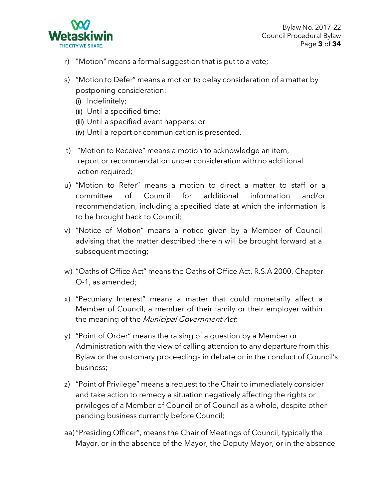

- r) "Motion" means a formal suggestion that is put to a vote;
- s) "Motion to Defer" means a motion to delay consideration of a matter by postponing consideration:
	- (i) Indefinitely;
	- (ii) Until a specified time;
	- (iii) Until a specified event happens; or
	- (iv) Until a report or communication is presented.
- t) "Motion to Receive" means a motion to acknowledge an item, report or recommendation under consideration with no additional action required;
- u) "Motion to Refer" means a motion to direct a matter to staff or a committee of Council for additional information and/or recommendation, including a specified date at which the information is to be brought back to Council;
- v) "Notice of Motion" means a notice given by a Member of Council advising that the matter described therein will be brought forward at a subsequent meeting;
- w) "Oaths of Office Act" means the Oaths of Office Act, R.S.A 2000, Chapter O-1, as amended;
- x) "Pecuniary Interest" means a matter that could monetarily affect a Member of Council, a member of their family or their employer within the meaning of the Municipal Government Act;
- y) "Point of Order" means the raising of a question by a Member or Administration with the view of calling attention to any departure from this Bylaw or the customary proceedings in debate or in the conduct of Council's business;
- z) "Point of Privilege" means a request to the Chair to immediately consider and take action to remedy a situation negatively affecting the rights or privileges of a Member of Council or of Council as a whole, despite other pending business currently before Council;
- aa)"Presiding Officer", means the Chair of Meetings of Council, typically the Mayor, or in the absence of the Mayor, the Deputy Mayor, or in the absence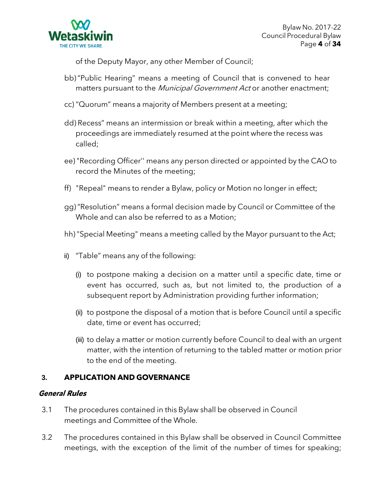

of the Deputy Mayor, any other Member of Council;

- bb)"Public Hearing" means a meeting of Council that is convened to hear matters pursuant to the *Municipal Government Act* or another enactment;
- cc) "Quorum" means a majority of Members present at a meeting;
- dd) Recess" means an intermission or break within a meeting, after which the proceedings are immediately resumed at the point where the recess was called;
- ee) "Recording Officer'' means any person directed or appointed by the CAO to record the Minutes of the meeting;
- ff) "Repeal" means to render a Bylaw, policy or Motion no longer in effect;
- gg)"Resolution" means a formal decision made by Council or Committee of the Whole and can also be referred to as a Motion;
- hh) "Special Meeting" means a meeting called by the Mayor pursuant to the Act;
- ii) "Table" means any of the following:
	- (i) to postpone making a decision on a matter until a specific date, time or event has occurred, such as, but not limited to, the production of a subsequent report by Administration providing further information;
	- (ii) to postpone the disposal of a motion that is before Council until a specific date, time or event has occurred;
	- (iii) to delay a matter or motion currently before Council to deal with an urgent matter, with the intention of returning to the tabled matter or motion prior to the end of the meeting.

# **3. APPLICATION AND GOVERNANCE**

#### **General Rules**

- 3.1 The procedures contained in this Bylaw shall be observed in Council meetings and Committee of the Whole.
- 3.2 The procedures contained in this Bylaw shall be observed in Council Committee meetings, with the exception of the limit of the number of times for speaking;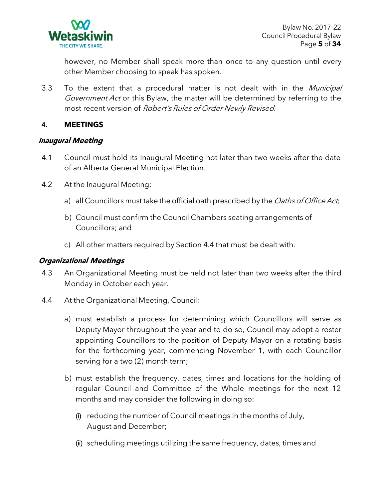

however, no Member shall speak more than once to any question until every other Member choosing to speak has spoken.

3.3 To the extent that a procedural matter is not dealt with in the Municipal Government Act or this Bylaw, the matter will be determined by referring to the most recent version of Robert's Rules of Order Newly Revised.

# **4. MEETINGS**

### **Inaugural Meeting**

- 4.1 Council must hold its Inaugural Meeting not later than two weeks after the date of an Alberta General Municipal Election.
- 4.2 At the Inaugural Meeting:
	- a) all Councillors must take the official oath prescribed by the Oaths of Office Act,
	- b) Council must confirm the Council Chambers seating arrangements of Councillors; and
	- c) All other matters required by Section 4.4 that must be dealt with.

# **Organizational Meetings**

- 4.3 An Organizational Meeting must be held not later than two weeks after the third Monday in October each year.
- 4.4 At the Organizational Meeting, Council:
	- a) must establish a process for determining which Councillors will serve as Deputy Mayor throughout the year and to do so, Council may adopt a roster appointing Councillors to the position of Deputy Mayor on a rotating basis for the forthcoming year, commencing November 1, with each Councillor serving for a two (2) month term;
	- b) must establish the frequency, dates, times and locations for the holding of regular Council and Committee of the Whole meetings for the next 12 months and may consider the following in doing so:
		- (i) reducing the number of Council meetings in the months of July, August and December;
		- (ii) scheduling meetings utilizing the same frequency, dates, times and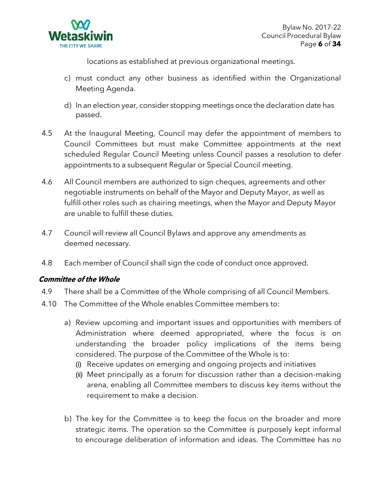

locations as established at previous organizational meetings.

- c) must conduct any other business as identified within the Organizational Meeting Agenda.
- d) In an election year, consider stopping meetings once the declaration date has passed.
- 4.5 At the Inaugural Meeting, Council may defer the appointment of members to Council Committees but must make Committee appointments at the next scheduled Regular Council Meeting unless Council passes a resolution to defer appointments to a subsequent Regular or Special Council meeting.
- 4.6 All Council members are authorized to sign cheques, agreements and other negotiable instruments on behalf of the Mayor and Deputy Mayor, as well as fulfill other roles such as chairing meetings, when the Mayor and Deputy Mayor are unable to fulfill these duties.
- 4.7 Council will review all Council Bylaws and approve any amendments as deemed necessary.
- 4.8 Each member of Council shall sign the code of conduct once approved.

# **Committee of the Whole**

- 4.9 There shall be a Committee of the Whole comprising of all Council Members.
- 4.10 The Committee of the Whole enables Committee members to:
	- a) Review upcoming and important issues and opportunities with members of Administration where deemed appropriated, where the focus is on understanding the broader policy implications of the items being considered. The purpose of the Committee of the Whole is to:
		- (i) Receive updates on emerging and ongoing projects and initiatives
		- (ii) Meet principally as a forum for discussion rather than a decision-making arena, enabling all Committee members to discuss key items without the requirement to make a decision.
	- b) The key for the Committee is to keep the focus on the broader and more strategic items. The operation so the Committee is purposely kept informal to encourage deliberation of information and ideas. The Committee has no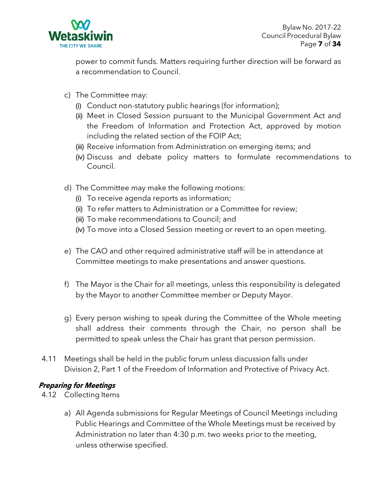

power to commit funds. Matters requiring further direction will be forward as a recommendation to Council.

- c) The Committee may:
	- (i) Conduct non-statutory public hearings (for information);
	- (ii) Meet in Closed Session pursuant to the Municipal Government Act and the Freedom of Information and Protection Act, approved by motion including the related section of the FOIP Act;
	- (iii) Receive information from Administration on emerging items; and
	- (iv) Discuss and debate policy matters to formulate recommendations to Council.
- d) The Committee may make the following motions:
	- (i) To receive agenda reports as information;
	- (ii) To refer matters to Administration or a Committee for review;
	- (iii) To make recommendations to Council; and
	- (iv) To move into a Closed Session meeting or revert to an open meeting.
- e) The CAO and other required administrative staff will be in attendance at Committee meetings to make presentations and answer questions.
- f) The Mayor is the Chair for all meetings, unless this responsibility is delegated by the Mayor to another Committee member or Deputy Mayor.
- g) Every person wishing to speak during the Committee of the Whole meeting shall address their comments through the Chair, no person shall be permitted to speak unless the Chair has grant that person permission.
- 4.11 Meetings shall be held in the public forum unless discussion falls under Division 2, Part 1 of the Freedom of Information and Protective of Privacy Act.

#### **Preparing for Meetings**

- 4.12 Collecting Items
	- a) All Agenda submissions for Regular Meetings of Council Meetings including Public Hearings and Committee of the Whole Meetings must be received by Administration no later than 4:30 p.m. two weeks prior to the meeting, unless otherwise specified.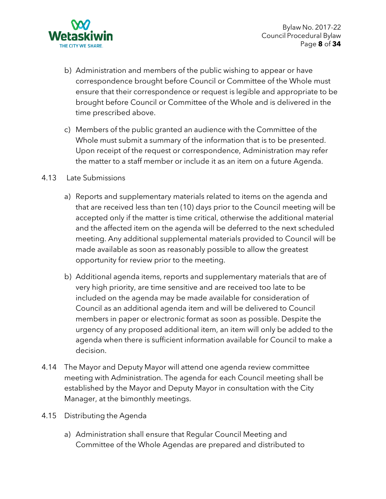

- b) Administration and members of the public wishing to appear or have correspondence brought before Council or Committee of the Whole must ensure that their correspondence or request is legible and appropriate to be brought before Council or Committee of the Whole and is delivered in the time prescribed above.
- c) Members of the public granted an audience with the Committee of the Whole must submit a summary of the information that is to be presented. Upon receipt of the request or correspondence, Administration may refer the matter to a staff member or include it as an item on a future Agenda.

### 4.13 Late Submissions

- a) Reports and supplementary materials related to items on the agenda and that are received less than ten (10) days prior to the Council meeting will be accepted only if the matter is time critical, otherwise the additional material and the affected item on the agenda will be deferred to the next scheduled meeting. Any additional supplemental materials provided to Council will be made available as soon as reasonably possible to allow the greatest opportunity for review prior to the meeting.
- b) Additional agenda items, reports and supplementary materials that are of very high priority, are time sensitive and are received too late to be included on the agenda may be made available for consideration of Council as an additional agenda item and will be delivered to Council members in paper or electronic format as soon as possible. Despite the urgency of any proposed additional item, an item will only be added to the agenda when there is sufficient information available for Council to make a decision.
- 4.14 The Mayor and Deputy Mayor will attend one agenda review committee meeting with Administration. The agenda for each Council meeting shall be established by the Mayor and Deputy Mayor in consultation with the City Manager, at the bimonthly meetings.
- 4.15 Distributing the Agenda
	- a) Administration shall ensure that Regular Council Meeting and Committee of the Whole Agendas are prepared and distributed to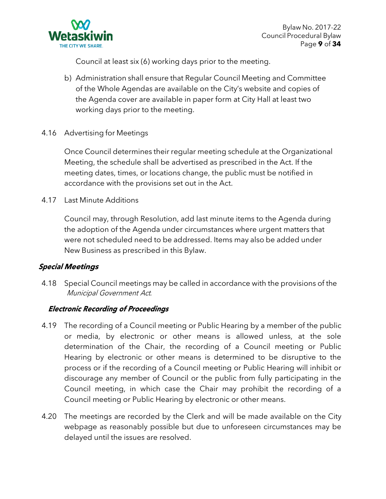

Council at least six (6) working days prior to the meeting.

- b) Administration shall ensure that Regular Council Meeting and Committee of the Whole Agendas are available on the City's website and copies of the Agenda cover are available in paper form at City Hall at least two working days prior to the meeting.
- 4.16 Advertising for Meetings

Once Council determines their regular meeting schedule at the Organizational Meeting, the schedule shall be advertised as prescribed in the Act. If the meeting dates, times, or locations change, the public must be notified in accordance with the provisions set out in the Act.

4.17 Last Minute Additions

Council may, through Resolution, add last minute items to the Agenda during the adoption of the Agenda under circumstances where urgent matters that were not scheduled need to be addressed. Items may also be added under New Business as prescribed in this Bylaw.

# **Special Meetings**

4.18 Special Council meetings may be called in accordance with the provisions of the Municipal Government Act.

# **Electronic Recording of Proceedings**

- 4.19 The recording of a Council meeting or Public Hearing by a member of the public or media, by electronic or other means is allowed unless, at the sole determination of the Chair, the recording of a Council meeting or Public Hearing by electronic or other means is determined to be disruptive to the process or if the recording of a Council meeting or Public Hearing will inhibit or discourage any member of Council or the public from fully participating in the Council meeting, in which case the Chair may prohibit the recording of a Council meeting or Public Hearing by electronic or other means.
- 4.20 The meetings are recorded by the Clerk and will be made available on the City webpage as reasonably possible but due to unforeseen circumstances may be delayed until the issues are resolved.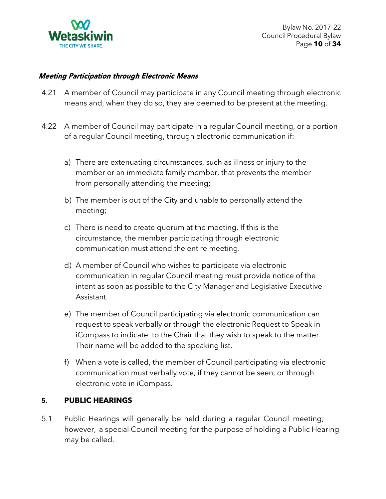

### **Meeting Participation through Electronic Means**

- 4.21 A member of Council may participate in any Council meeting through electronic means and, when they do so, they are deemed to be present at the meeting.
- 4.22 A member of Council may participate in a regular Council meeting, or a portion of a regular Council meeting, through electronic communication if:
	- a) There are extenuating circumstances, such as illness or injury to the member or an immediate family member, that prevents the member from personally attending the meeting;
	- b) The member is out of the City and unable to personally attend the meeting;
	- c) There is need to create quorum at the meeting. If this is the circumstance, the member participating through electronic communication must attend the entire meeting.
	- d) A member of Council who wishes to participate via electronic communication in regular Council meeting must provide notice of the intent as soon as possible to the City Manager and Legislative Executive Assistant.
	- e) The member of Council participating via electronic communication can request to speak verbally or through the electronic Request to Speak in iCompass to indicate to the Chair that they wish to speak to the matter. Their name will be added to the speaking list.
	- f) When a vote is called, the member of Council participating via electronic communication must verbally vote, if they cannot be seen, or through electronic vote in iCompass.

#### **5. PUBLIC HEARINGS**

5.1 Public Hearings will generally be held during a regular Council meeting; however, a special Council meeting for the purpose of holding a Public Hearing may be called.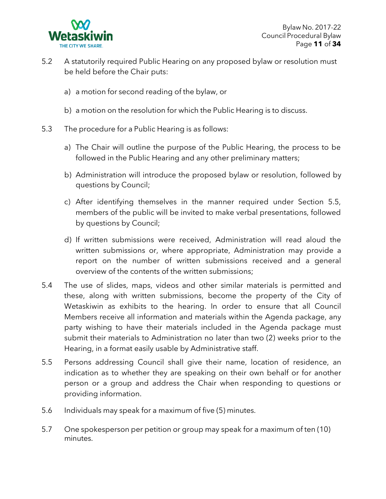

- 5.2 A statutorily required Public Hearing on any proposed bylaw or resolution must be held before the Chair puts:
	- a) a motion for second reading of the bylaw, or
	- b) a motion on the resolution for which the Public Hearing is to discuss.
- 5.3 The procedure for a Public Hearing is as follows:
	- a) The Chair will outline the purpose of the Public Hearing, the process to be followed in the Public Hearing and any other preliminary matters;
	- b) Administration will introduce the proposed bylaw or resolution, followed by questions by Council;
	- c) After identifying themselves in the manner required under Section 5.5, members of the public will be invited to make verbal presentations, followed by questions by Council;
	- d) If written submissions were received, Administration will read aloud the written submissions or, where appropriate, Administration may provide a report on the number of written submissions received and a general overview of the contents of the written submissions;
- 5.4 The use of slides, maps, videos and other similar materials is permitted and these, along with written submissions, become the property of the City of Wetaskiwin as exhibits to the hearing. In order to ensure that all Council Members receive all information and materials within the Agenda package, any party wishing to have their materials included in the Agenda package must submit their materials to Administration no later than two (2) weeks prior to the Hearing, in a format easily usable by Administrative staff.
- 5.5 Persons addressing Council shall give their name, location of residence, an indication as to whether they are speaking on their own behalf or for another person or a group and address the Chair when responding to questions or providing information.
- 5.6 Individuals may speak for a maximum of five (5) minutes.
- 5.7 One spokesperson per petition or group may speak for a maximum of ten (10) minutes.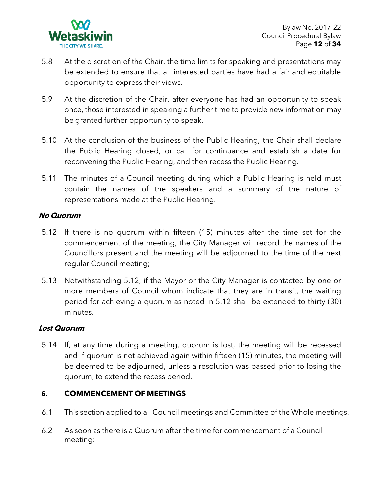

- 5.8 At the discretion of the Chair, the time limits for speaking and presentations may be extended to ensure that all interested parties have had a fair and equitable opportunity to express their views.
- 5.9 At the discretion of the Chair, after everyone has had an opportunity to speak once, those interested in speaking a further time to provide new information may be granted further opportunity to speak.
- 5.10 At the conclusion of the business of the Public Hearing, the Chair shall declare the Public Hearing closed, or call for continuance and establish a date for reconvening the Public Hearing, and then recess the Public Hearing.
- 5.11 The minutes of a Council meeting during which a Public Hearing is held must contain the names of the speakers and a summary of the nature of representations made at the Public Hearing.

### **No Quorum**

- 5.12 If there is no quorum within fifteen (15) minutes after the time set for the commencement of the meeting, the City Manager will record the names of the Councillors present and the meeting will be adjourned to the time of the next regular Council meeting;
- 5.13 Notwithstanding 5.12, if the Mayor or the City Manager is contacted by one or more members of Council whom indicate that they are in transit, the waiting period for achieving a quorum as noted in 5.12 shall be extended to thirty (30) minutes.

#### **Lost Quorum**

5.14 If, at any time during a meeting, quorum is lost, the meeting will be recessed and if quorum is not achieved again within fifteen (15) minutes, the meeting will be deemed to be adjourned, unless a resolution was passed prior to losing the quorum, to extend the recess period.

# **6. COMMENCEMENT OF MEETINGS**

- 6.1 This section applied to all Council meetings and Committee of the Whole meetings.
- 6.2 As soon as there is a Quorum after the time for commencement of a Council meeting: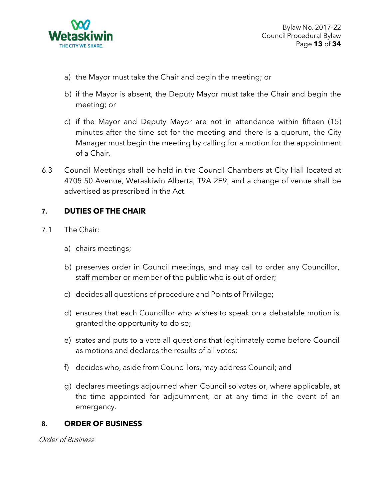

- a) the Mayor must take the Chair and begin the meeting; or
- b) if the Mayor is absent, the Deputy Mayor must take the Chair and begin the meeting; or
- c) if the Mayor and Deputy Mayor are not in attendance within fifteen (15) minutes after the time set for the meeting and there is a quorum, the City Manager must begin the meeting by calling for a motion for the appointment of a Chair.
- 6.3 Council Meetings shall be held in the Council Chambers at City Hall located at 4705 50 Avenue, Wetaskiwin Alberta, T9A 2E9, and a change of venue shall be advertised as prescribed in the Act.

# **7. DUTIES OF THE CHAIR**

- 7.1 The Chair:
	- a) chairs meetings;
	- b) preserves order in Council meetings, and may call to order any Councillor, staff member or member of the public who is out of order;
	- c) decides all questions of procedure and Points of Privilege;
	- d) ensures that each Councillor who wishes to speak on a debatable motion is granted the opportunity to do so;
	- e) states and puts to a vote all questions that legitimately come before Council as motions and declares the results of all votes;
	- f) decides who, aside from Councillors, may address Council; and
	- g) declares meetings adjourned when Council so votes or, where applicable, at the time appointed for adjournment, or at any time in the event of an emergency.

#### **8. ORDER OF BUSINESS**

Order of Business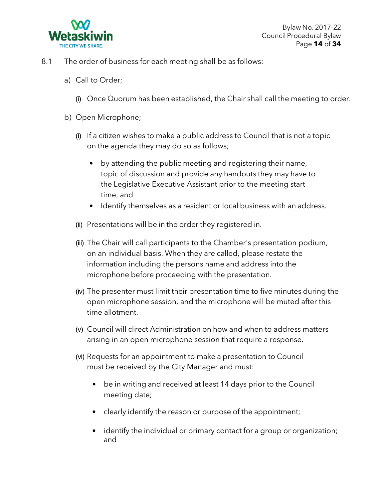

- 8.1 The order of business for each meeting shall be as follows:
	- a) Call to Order;
		- (i) Once Quorum has been established, the Chair shall call the meeting to order.
	- b) Open Microphone;
		- (i) If a citizen wishes to make a public address to Council that is not a topic on the agenda they may do so as follows;
			- by attending the public meeting and registering their name, topic of discussion and provide any handouts they may have to the Legislative Executive Assistant prior to the meeting start time, and
			- Identify themselves as a resident or local business with an address.
		- (ii) Presentations will be in the order they registered in.
		- (iii) The Chair will call participants to the Chamber's presentation podium, on an individual basis. When they are called, please restate the information including the persons name and address into the microphone before proceeding with the presentation.
		- (iv) The presenter must limit their presentation time to five minutes during the open microphone session, and the microphone will be muted after this time allotment.
		- (v) Council will direct Administration on how and when to address matters arising in an open microphone session that require a response.
		- (vi) Requests for an appointment to make a presentation to Council must be received by the City Manager and must:
			- be in writing and received at least 14 days prior to the Council meeting date;
			- clearly identify the reason or purpose of the appointment;
			- identify the individual or primary contact for a group or organization; and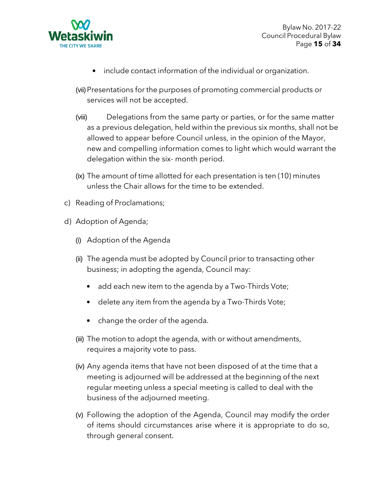

Bylaw No. 2017-22 Council Procedural Bylaw Page **15** of **34**

- include contact information of the individual or organization.
- (vii)Presentations for the purposes of promoting commercial products or services will not be accepted.
- (viii) Delegations from the same party or parties, or for the same matter as a previous delegation, held within the previous six months, shall not be allowed to appear before Council unless, in the opinion of the Mayor, new and compelling information comes to light which would warrant the delegation within the six- month period.
- (ix) The amount of time allotted for each presentation is ten (10) minutes unless the Chair allows for the time to be extended.
- c) Reading of Proclamations;
- d) Adoption of Agenda;
	- (i) Adoption of the Agenda
	- (ii) The agenda must be adopted by Council prior to transacting other business; in adopting the agenda, Council may:
		- add each new item to the agenda by a Two-Thirds Vote;
		- delete any item from the agenda by a Two-Thirds Vote;
		- change the order of the agenda.
	- (iii) The motion to adopt the agenda, with or without amendments, requires a majority vote to pass.
	- (iv) Any agenda items that have not been disposed of at the time that a meeting is adjourned will be addressed at the beginning of the next regular meeting unless a special meeting is called to deal with the business of the adjourned meeting.
	- (v) Following the adoption of the Agenda, Council may modify the order of items should circumstances arise where it is appropriate to do so, through general consent.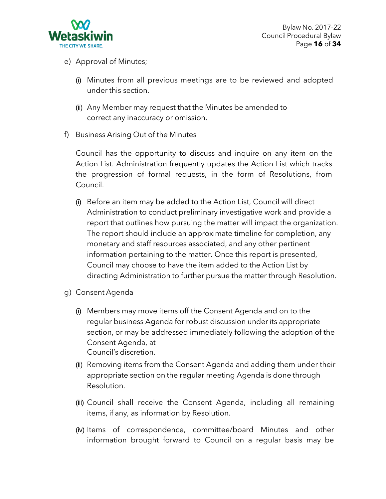

- e) Approval of Minutes;
	- (i) Minutes from all previous meetings are to be reviewed and adopted under this section.
	- (ii) Any Member may request that the Minutes be amended to correct any inaccuracy or omission.
- f) Business Arising Out of the Minutes

Council has the opportunity to discuss and inquire on any item on the Action List. Administration frequently updates the Action List which tracks the progression of formal requests, in the form of Resolutions, from Council.

- (i) Before an item may be added to the Action List, Council will direct Administration to conduct preliminary investigative work and provide a report that outlines how pursuing the matter will impact the organization. The report should include an approximate timeline for completion, any monetary and staff resources associated, and any other pertinent information pertaining to the matter. Once this report is presented, Council may choose to have the item added to the Action List by directing Administration to further pursue the matter through Resolution.
- g) Consent Agenda
	- (i) Members may move items off the Consent Agenda and on to the regular business Agenda for robust discussion under its appropriate section, or may be addressed immediately following the adoption of the Consent Agenda, at Council's discretion.
	- (ii) Removing items from the Consent Agenda and adding them under their appropriate section on the regular meeting Agenda is done through Resolution.
	- (iii) Council shall receive the Consent Agenda, including all remaining items, if any, as information by Resolution.
	- (iv) Items of correspondence, committee/board Minutes and other information brought forward to Council on a regular basis may be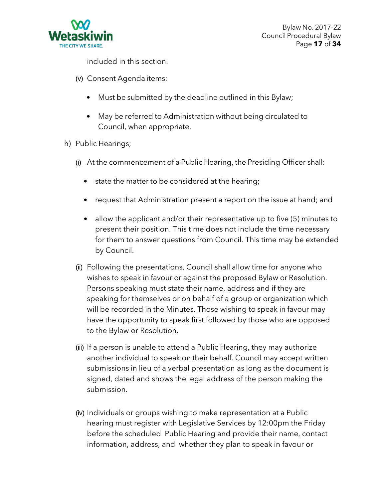

included in this section.

- (v) Consent Agenda items:
	- Must be submitted by the deadline outlined in this Bylaw;
	- May be referred to Administration without being circulated to Council, when appropriate.
- h) Public Hearings;
	- (i) At the commencement of a Public Hearing, the Presiding Officer shall:
		- state the matter to be considered at the hearing;
		- request that Administration present a report on the issue at hand; and
		- allow the applicant and/or their representative up to five (5) minutes to present their position. This time does not include the time necessary for them to answer questions from Council. This time may be extended by Council.
	- (ii) Following the presentations, Council shall allow time for anyone who wishes to speak in favour or against the proposed Bylaw or Resolution. Persons speaking must state their name, address and if they are speaking for themselves or on behalf of a group or organization which will be recorded in the Minutes. Those wishing to speak in favour may have the opportunity to speak first followed by those who are opposed to the Bylaw or Resolution.
	- (iii) If a person is unable to attend a Public Hearing, they may authorize another individual to speak on their behalf. Council may accept written submissions in lieu of a verbal presentation as long as the document is signed, dated and shows the legal address of the person making the submission.
	- (iv) Individuals or groups wishing to make representation at a Public hearing must register with Legislative Services by 12:00pm the Friday before the scheduled Public Hearing and provide their name, contact information, address, and whether they plan to speak in favour or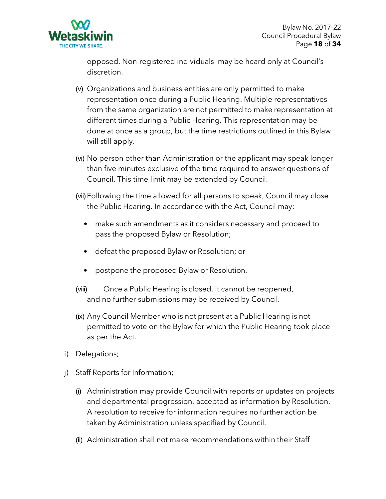

opposed. Non-registered individuals may be heard only at Council's discretion.

- (v) Organizations and business entities are only permitted to make representation once during a Public Hearing. Multiple representatives from the same organization are not permitted to make representation at different times during a Public Hearing. This representation may be done at once as a group, but the time restrictions outlined in this Bylaw will still apply.
- (vi) No person other than Administration or the applicant may speak longer than five minutes exclusive of the time required to answer questions of Council. This time limit may be extended by Council.
- (vii)Following the time allowed for all persons to speak, Council may close the Public Hearing. In accordance with the Act, Council may:
	- make such amendments as it considers necessary and proceed to pass the proposed Bylaw or Resolution;
	- defeat the proposed Bylaw or Resolution; or
	- postpone the proposed Bylaw or Resolution.
- (viii) Once a Public Hearing is closed, it cannot be reopened, and no further submissions may be received by Council.
- (ix) Any Council Member who is not present at a Public Hearing is not permitted to vote on the Bylaw for which the Public Hearing took place as per the Act.
- i) Delegations;
- j) Staff Reports for Information;
	- (i) Administration may provide Council with reports or updates on projects and departmental progression, accepted as information by Resolution. A resolution to receive for information requires no further action be taken by Administration unless specified by Council.
	- (ii) Administration shall not make recommendations within their Staff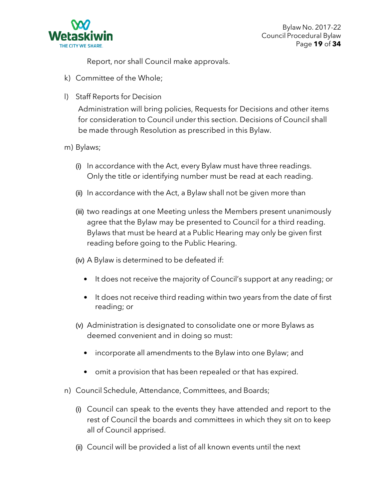

Report, nor shall Council make approvals.

- k) Committee of the Whole;
- l) Staff Reports for Decision

Administration will bring policies, Requests for Decisions and other items for consideration to Council under this section. Decisions of Council shall be made through Resolution as prescribed in this Bylaw.

- m) Bylaws;
	- (i) In accordance with the Act, every Bylaw must have three readings. Only the title or identifying number must be read at each reading.
	- (ii) In accordance with the Act, a Bylaw shall not be given more than
	- (iii) two readings at one Meeting unless the Members present unanimously agree that the Bylaw may be presented to Council for a third reading. Bylaws that must be heard at a Public Hearing may only be given first reading before going to the Public Hearing.
	- (iv) A Bylaw is determined to be defeated if:
		- It does not receive the majority of Council's support at any reading; or
		- It does not receive third reading within two years from the date of first reading; or
	- (v) Administration is designated to consolidate one or more Bylaws as deemed convenient and in doing so must:
		- incorporate all amendments to the Bylaw into one Bylaw; and
		- omit a provision that has been repealed or that has expired.
- n) Council Schedule, Attendance, Committees, and Boards;
	- (i) Council can speak to the events they have attended and report to the rest of Council the boards and committees in which they sit on to keep all of Council apprised.
	- (ii) Council will be provided a list of all known events until the next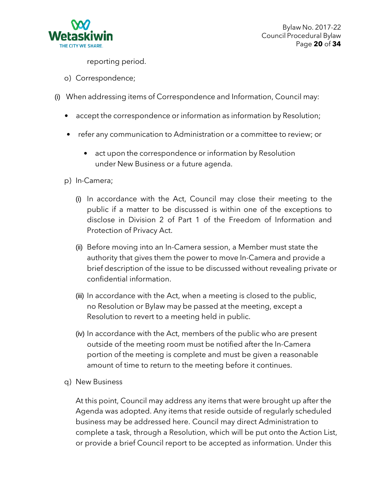

reporting period.

- o) Correspondence;
- (i) When addressing items of Correspondence and Information, Council may:
	- accept the correspondence or information as information by Resolution;
	- refer any communication to Administration or a committee to review; or
		- act upon the correspondence or information by Resolution under New Business or a future agenda.
	- p) In-Camera;
		- (i) In accordance with the Act, Council may close their meeting to the public if a matter to be discussed is within one of the exceptions to disclose in Division 2 of Part 1 of the Freedom of Information and Protection of Privacy Act.
		- (ii) Before moving into an In-Camera session, a Member must state the authority that gives them the power to move In-Camera and provide a brief description of the issue to be discussed without revealing private or confidential information.
		- (iii) In accordance with the Act, when a meeting is closed to the public, no Resolution or Bylaw may be passed at the meeting, except a Resolution to revert to a meeting held in public.
		- (iv) In accordance with the Act, members of the public who are present outside of the meeting room must be notified after the In-Camera portion of the meeting is complete and must be given a reasonable amount of time to return to the meeting before it continues.
	- q) New Business

At this point, Council may address any items that were brought up after the Agenda was adopted. Any items that reside outside of regularly scheduled business may be addressed here. Council may direct Administration to complete a task, through a Resolution, which will be put onto the Action List, or provide a brief Council report to be accepted as information. Under this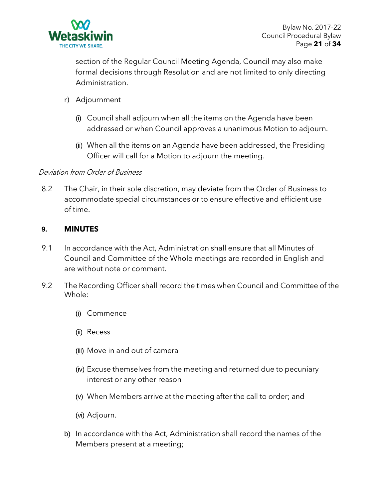

section of the Regular Council Meeting Agenda, Council may also make formal decisions through Resolution and are not limited to only directing Administration.

- r) Adjournment
	- (i) Council shall adjourn when all the items on the Agenda have been addressed or when Council approves a unanimous Motion to adjourn.
	- (ii) When all the items on an Agenda have been addressed, the Presiding Officer will call for a Motion to adjourn the meeting.

# Deviation from Order of Business

8.2 The Chair, in their sole discretion, may deviate from the Order of Business to accommodate special circumstances or to ensure effective and efficient use of time.

### **9. MINUTES**

- 9.1 In accordance with the Act, Administration shall ensure that all Minutes of Council and Committee of the Whole meetings are recorded in English and are without note or comment.
- 9.2 The Recording Officer shall record the times when Council and Committee of the Whole:
	- (i) Commence
	- (ii) Recess
	- (iii) Move in and out of camera
	- (iv) Excuse themselves from the meeting and returned due to pecuniary interest or any other reason
	- (v) When Members arrive at the meeting after the call to order; and
	- (vi) Adjourn.
	- b) In accordance with the Act, Administration shall record the names of the Members present at a meeting;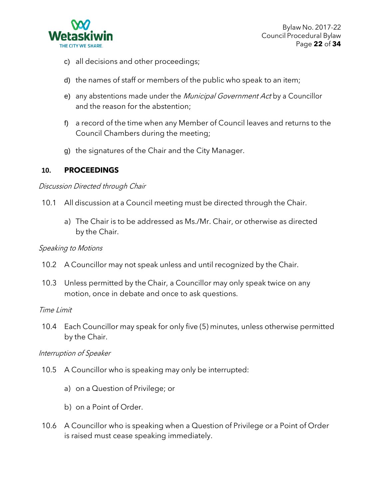

- c) all decisions and other proceedings;
- d) the names of staff or members of the public who speak to an item;
- e) any abstentions made under the Municipal Government Act by a Councillor and the reason for the abstention;
- f) a record of the time when any Member of Council leaves and returns to the Council Chambers during the meeting;
- g) the signatures of the Chair and the City Manager.

### **10. PROCEEDINGS**

#### Discussion Directed through Chair

- 10.1 All discussion at a Council meeting must be directed through the Chair.
	- a) The Chair is to be addressed as Ms./Mr. Chair, or otherwise as directed by the Chair.

#### Speaking to Motions

- 10.2 A Councillor may not speak unless and until recognized by the Chair.
- 10.3 Unless permitted by the Chair, a Councillor may only speak twice on any motion, once in debate and once to ask questions.

#### Time Limit

10.4 Each Councillor may speak for only five (5) minutes, unless otherwise permitted by the Chair.

#### Interruption of Speaker

- 10.5 A Councillor who is speaking may only be interrupted:
	- a) on a Question of Privilege; or
	- b) on a Point of Order.
- 10.6 A Councillor who is speaking when a Question of Privilege or a Point of Order is raised must cease speaking immediately.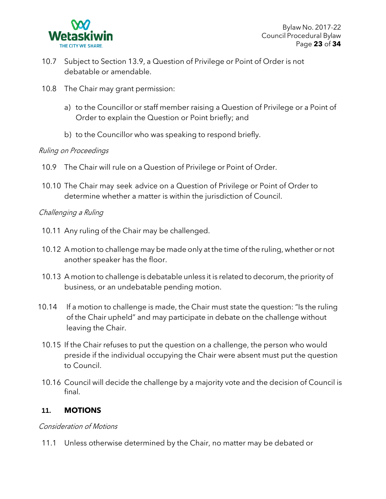

- 10.7 Subject to Section 13.9, a Question of Privilege or Point of Order is not debatable or amendable.
- 10.8 The Chair may grant permission:
	- a) to the Councillor or staff member raising a Question of Privilege or a Point of Order to explain the Question or Point briefly; and
	- b) to the Councillor who was speaking to respond briefly.

### Ruling on Proceedings

- 10.9 The Chair will rule on a Question of Privilege or Point of Order.
- 10.10 The Chair may seek advice on a Question of Privilege or Point of Order to determine whether a matter is within the jurisdiction of Council.

### Challenging <sup>a</sup> Ruling

- 10.11 Any ruling of the Chair may be challenged.
- 10.12 A motion to challenge may be made only at the time of the ruling, whether or not another speaker has the floor.
- 10.13 A motion to challenge is debatable unless it is related to decorum, the priority of business, or an undebatable pending motion.
- 10.14 If a motion to challenge is made, the Chair must state the question: "Is the ruling of the Chair upheld" and may participate in debate on the challenge without leaving the Chair.
- 10.15 If the Chair refuses to put the question on a challenge, the person who would preside if the individual occupying the Chair were absent must put the question to Council.
- 10.16 Council will decide the challenge by a majority vote and the decision of Council is final.

# **11. MOTIONS**

#### Consideration of Motions

11.1 Unless otherwise determined by the Chair, no matter may be debated or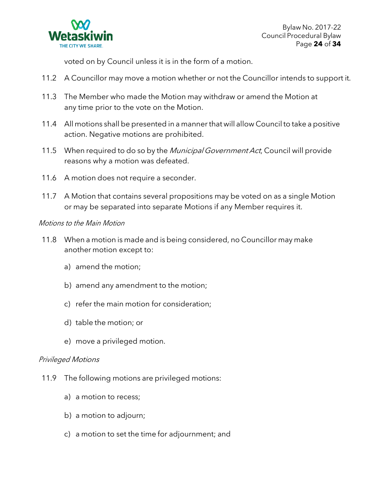

voted on by Council unless it is in the form of a motion.

- 11.2 A Councillor may move a motion whether or not the Councillor intends to support it.
- 11.3 The Member who made the Motion may withdraw or amend the Motion at any time prior to the vote on the Motion.
- 11.4 All motions shall be presented in a mannerthat will allow Council to take a positive action. Negative motions are prohibited.
- 11.5 When required to do so by the Municipal Government Act, Council will provide reasons why a motion was defeated.
- 11.6 A motion does not require a seconder.
- 11.7 A Motion that contains several propositions may be voted on as a single Motion or may be separated into separate Motions if any Member requires it.

### Motions to the Main Motion

- 11.8 When a motion is made and is being considered, no Councillor may make another motion except to:
	- a) amend the motion;
	- b) amend any amendment to the motion;
	- c) refer the main motion for consideration;
	- d) table the motion; or
	- e) move a privileged motion.

#### Privileged Motions

- 11.9 The following motions are privileged motions:
	- a) a motion to recess;
	- b) a motion to adjourn;
	- c) a motion to set the time for adjournment; and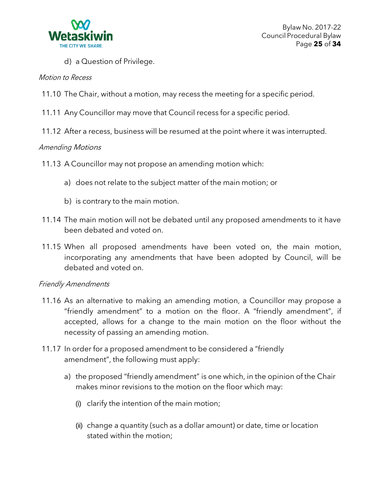

d) a Question of Privilege.

#### Motion to Recess

- 11.10 The Chair, without a motion, may recess the meeting for a specific period.
- 11.11 Any Councillor may move that Council recess for a specific period.
- 11.12 After a recess, business will be resumed at the point where it was interrupted.

#### Amending Motions

- 11.13 A Councillor may not propose an amending motion which:
	- a) does not relate to the subject matter of the main motion; or
	- b) is contrary to the main motion.
- 11.14 The main motion will not be debated until any proposed amendments to it have been debated and voted on.
- 11.15 When all proposed amendments have been voted on, the main motion, incorporating any amendments that have been adopted by Council, will be debated and voted on.

#### Friendly Amendments

- 11.16 As an alternative to making an amending motion, a Councillor may propose a "friendly amendment" to a motion on the floor. A "friendly amendment", if accepted, allows for a change to the main motion on the floor without the necessity of passing an amending motion.
- 11.17 In order for a proposed amendment to be considered a "friendly amendment", the following must apply:
	- a) the proposed "friendly amendment" is one which, in the opinion of the Chair makes minor revisions to the motion on the floor which may:
		- (i) clarify the intention of the main motion;
		- (ii) change a quantity (such as a dollar amount) or date, time or location stated within the motion;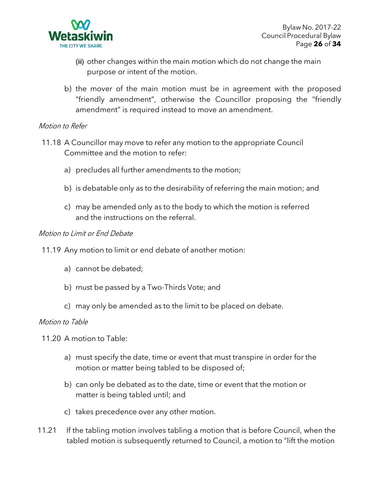

- (iii) other changes within the main motion which do not change the main purpose or intent of the motion.
- b) the mover of the main motion must be in agreement with the proposed "friendly amendment", otherwise the Councillor proposing the "friendly amendment" is required instead to move an amendment.

### Motion to Refer

- 11.18 A Councillor may move to refer any motion to the appropriate Council Committee and the motion to refer:
	- a) precludes all further amendments to the motion;
	- b) is debatable only as to the desirability of referring the main motion; and
	- c) may be amended only as to the body to which the motion is referred and the instructions on the referral.

#### Motion to Limit or End Debate

- 11.19 Any motion to limit or end debate of another motion:
	- a) cannot be debated;
	- b) must be passed by a Two-Thirds Vote; and
	- c) may only be amended as to the limit to be placed on debate.

#### Motion to Table

- 11.20 A motion to Table:
	- a) must specify the date, time or event that must transpire in order for the motion or matter being tabled to be disposed of;
	- b) can only be debated as to the date, time or event that the motion or matter is being tabled until; and
	- c) takes precedence over any other motion.
- 11.21 If the tabling motion involves tabling a motion that is before Council, when the tabled motion is subsequently returned to Council, a motion to "lift the motion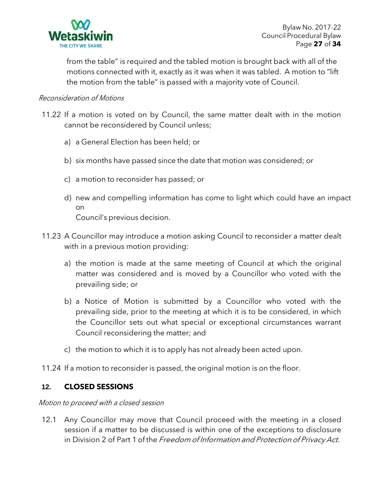

from the table" is required and the tabled motion is brought back with all of the motions connected with it, exactly as it was when it was tabled. A motion to "lift the motion from the table" is passed with a majority vote of Council.

### Reconsideration of Motions

- 11.22 If a motion is voted on by Council, the same matter dealt with in the motion cannot be reconsidered by Council unless;
	- a) a General Election has been held; or
	- b) six months have passed since the date that motion was considered; or
	- c) a motion to reconsider has passed; or
	- d) new and compelling information has come to light which could have an impact on Council's previous decision.
- 11.23 A Councillor may introduce a motion asking Council to reconsider a matter dealt with in a previous motion providing:
	- a) the motion is made at the same meeting of Council at which the original matter was considered and is moved by a Councillor who voted with the prevailing side; or
	- b) a Notice of Motion is submitted by a Councillor who voted with the prevailing side, prior to the meeting at which it is to be considered, in which the Councillor sets out what special or exceptional circumstances warrant Council reconsidering the matter; and
	- c) the motion to which it is to apply has not already been acted upon.
- 11.24 If a motion to reconsider is passed, the original motion is on the floor.

#### **12. CLOSED SESSIONS**

#### Motion to proceed with <sup>a</sup> closed session

12.1 Any Councillor may move that Council proceed with the meeting in a closed session if a matter to be discussed is within one of the exceptions to disclosure in Division 2 of Part 1 of the Freedom of Information and Protection of Privacy Act.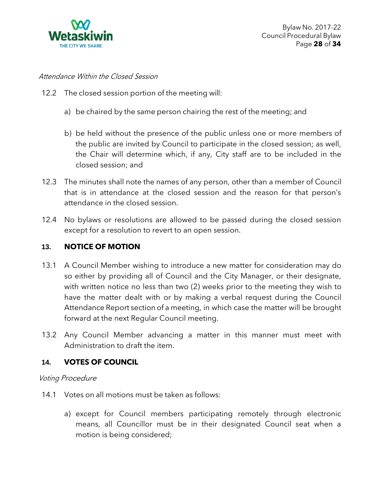

### Attendance Within the Closed Session

- 12.2 The closed session portion of the meeting will:
	- a) be chaired by the same person chairing the rest of the meeting; and
	- b) be held without the presence of the public unless one or more members of the public are invited by Council to participate in the closed session; as well, the Chair will determine which, if any, City staff are to be included in the closed session; and
- 12.3 The minutes shall note the names of any person, other than a member of Council that is in attendance at the closed session and the reason for that person's attendance in the closed session.
- 12.4 No bylaws or resolutions are allowed to be passed during the closed session except for a resolution to revert to an open session.

# **13. NOTICE OF MOTION**

- 13.1 A Council Member wishing to introduce a new matter for consideration may do so either by providing all of Council and the City Manager, or their designate, with written notice no less than two (2) weeks prior to the meeting they wish to have the matter dealt with or by making a verbal request during the Council Attendance Report section of a meeting, in which case the matter will be brought forward at the next Regular Council meeting.
- 13.2 Any Council Member advancing a matter in this manner must meet with Administration to draft the item.

# **14. VOTES OF COUNCIL**

#### Voting Procedure

- 14.1 Votes on all motions must be taken as follows:
	- a) except for Council members participating remotely through electronic means, all Councillor must be in their designated Council seat when a motion is being considered;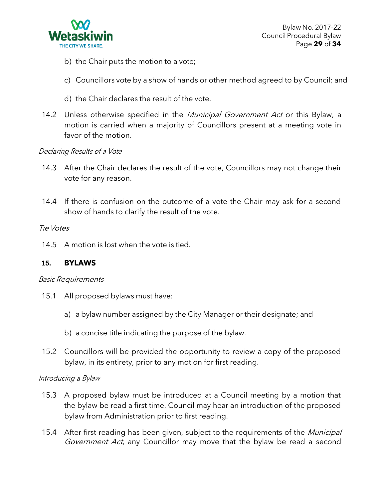

- b) the Chair puts the motion to a vote;
- c) Councillors vote by a show of hands or other method agreed to by Council; and
- d) the Chair declares the result of the vote.
- 14.2 Unless otherwise specified in the *Municipal Government Act* or this Bylaw, a motion is carried when a majority of Councillors present at a meeting vote in favor of the motion.

### Declaring Results of <sup>a</sup> Vote

- 14.3 After the Chair declares the result of the vote, Councillors may not change their vote for any reason.
- 14.4 If there is confusion on the outcome of a vote the Chair may ask for a second show of hands to clarify the result of the vote.

#### Tie Votes

14.5 A motion is lost when the vote is tied.

# **15. BYLAWS**

#### Basic Requirements

- 15.1 All proposed bylaws must have:
	- a) a bylaw number assigned by the City Manager or their designate; and
	- b) a concise title indicating the purpose of the bylaw.
- 15.2 Councillors will be provided the opportunity to review a copy of the proposed bylaw, in its entirety, prior to any motion for first reading.

#### Introducing <sup>a</sup> Bylaw

- 15.3 A proposed bylaw must be introduced at a Council meeting by a motion that the bylaw be read a first time. Council may hear an introduction of the proposed bylaw from Administration prior to first reading.
- 15.4 After first reading has been given, subject to the requirements of the *Municipal* Government Act, any Councillor may move that the bylaw be read a second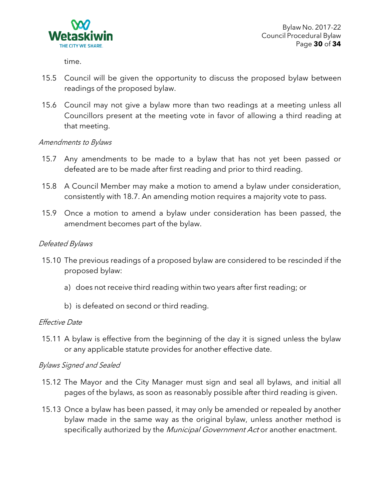

time.

- 15.5 Council will be given the opportunity to discuss the proposed bylaw between readings of the proposed bylaw.
- 15.6 Council may not give a bylaw more than two readings at a meeting unless all Councillors present at the meeting vote in favor of allowing a third reading at that meeting.

#### Amendments to Bylaws

- 15.7 Any amendments to be made to a bylaw that has not yet been passed or defeated are to be made after first reading and prior to third reading.
- 15.8 A Council Member may make a motion to amend a bylaw under consideration, consistently with 18.7. An amending motion requires a majority vote to pass.
- 15.9 Once a motion to amend a bylaw under consideration has been passed, the amendment becomes part of the bylaw.

# Defeated Bylaws

- 15.10 The previous readings of a proposed bylaw are considered to be rescinded if the proposed bylaw:
	- a) does not receive third reading within two years after first reading; or
	- b) is defeated on second or third reading.

#### Effective Date

15.11 A bylaw is effective from the beginning of the day it is signed unless the bylaw or any applicable statute provides for another effective date.

#### Bylaws Signed and Sealed

- 15.12 The Mayor and the City Manager must sign and seal all bylaws, and initial all pages of the bylaws, as soon as reasonably possible after third reading is given.
- 15.13 Once a bylaw has been passed, it may only be amended or repealed by another bylaw made in the same way as the original bylaw, unless another method is specifically authorized by the Municipal Government Act or another enactment.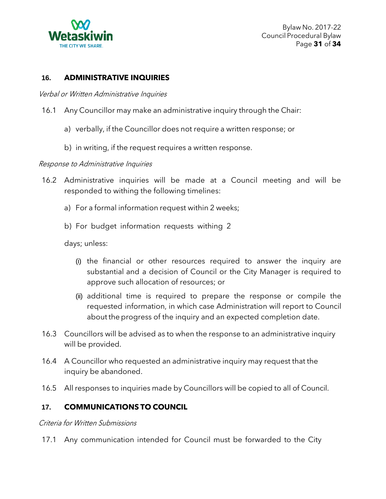

### **16. ADMINISTRATIVE INQUIRIES**

Verbal or Written Administrative Inquiries

- 16.1 Any Councillor may make an administrative inquiry through the Chair:
	- a) verbally, if the Councillor does not require a written response; or
	- b) in writing, if the request requires a written response.

#### Response to Administrative Inquiries

- 16.2 Administrative inquiries will be made at a Council meeting and will be responded to withing the following timelines:
	- a) For a formal information request within 2 weeks;
	- b) For budget information requests withing 2

days; unless:

- (i) the financial or other resources required to answer the inquiry are substantial and a decision of Council or the City Manager is required to approve such allocation of resources; or
- (ii) additional time is required to prepare the response or compile the requested information, in which case Administration will report to Council about the progress of the inquiry and an expected completion date.
- 16.3 Councillors will be advised as to when the response to an administrative inquiry will be provided.
- 16.4 A Councillor who requested an administrative inquiry may request that the inquiry be abandoned.
- 16.5 All responses to inquiries made by Councillors will be copied to all of Council.

# **17. COMMUNICATIONS TO COUNCIL**

Criteria for Written Submissions

17.1 Any communication intended for Council must be forwarded to the City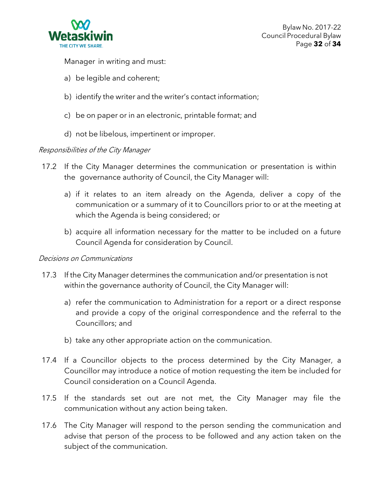

Manager in writing and must:

- a) be legible and coherent;
- b) identify the writer and the writer's contact information;
- c) be on paper or in an electronic, printable format; and
- d) not be libelous, impertinent or improper.

#### Responsibilities of the City Manager

- 17.2 If the City Manager determines the communication or presentation is within the governance authority of Council, the City Manager will:
	- a) if it relates to an item already on the Agenda, deliver a copy of the communication or a summary of it to Councillors prior to or at the meeting at which the Agenda is being considered; or
	- b) acquire all information necessary for the matter to be included on a future Council Agenda for consideration by Council.

#### Decisions on Communications

- 17.3 If the City Manager determines the communication and/or presentation is not within the governance authority of Council, the City Manager will:
	- a) refer the communication to Administration for a report or a direct response and provide a copy of the original correspondence and the referral to the Councillors; and
	- b) take any other appropriate action on the communication.
- 17.4 If a Councillor objects to the process determined by the City Manager, a Councillor may introduce a notice of motion requesting the item be included for Council consideration on a Council Agenda.
- 17.5 If the standards set out are not met, the City Manager may file the communication without any action being taken.
- 17.6 The City Manager will respond to the person sending the communication and advise that person of the process to be followed and any action taken on the subject of the communication.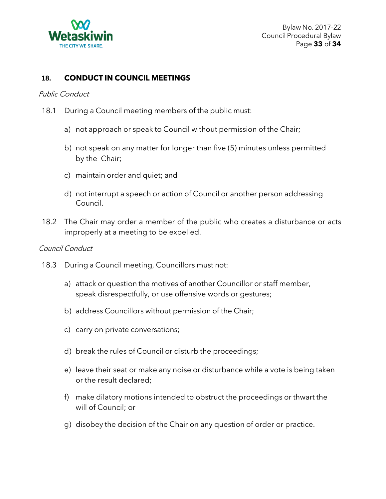

### **18. CONDUCT IN COUNCIL MEETINGS**

#### Public Conduct

- 18.1 During a Council meeting members of the public must:
	- a) not approach or speak to Council without permission of the Chair;
	- b) not speak on any matter for longer than five (5) minutes unless permitted by the Chair;
	- c) maintain order and quiet; and
	- d) not interrupt a speech or action of Council or another person addressing Council.
- 18.2 The Chair may order a member of the public who creates a disturbance or acts improperly at a meeting to be expelled.

### Council Conduct

- 18.3 During a Council meeting, Councillors must not:
	- a) attack or question the motives of another Councillor or staff member, speak disrespectfully, or use offensive words or gestures;
	- b) address Councillors without permission of the Chair;
	- c) carry on private conversations;
	- d) break the rules of Council or disturb the proceedings;
	- e) leave their seat or make any noise or disturbance while a vote is being taken or the result declared;
	- f) make dilatory motions intended to obstruct the proceedings or thwart the will of Council; or
	- g) disobey the decision of the Chair on any question of order or practice.